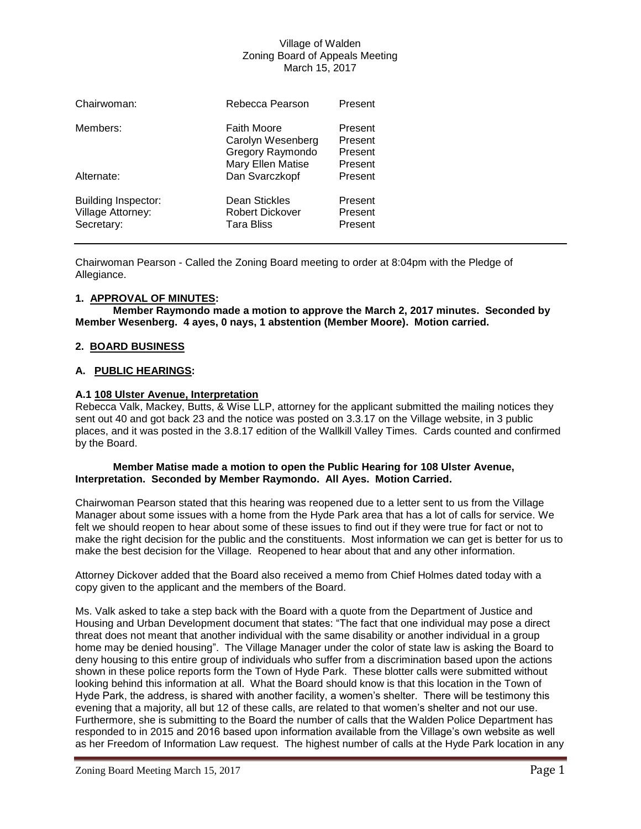| Chairwoman:                                                   | Rebecca Pearson                                                                         | Present                                  |
|---------------------------------------------------------------|-----------------------------------------------------------------------------------------|------------------------------------------|
| Members:                                                      | <b>Faith Moore</b><br>Carolyn Wesenberg<br><b>Gregory Raymondo</b><br>Mary Ellen Matise | Present<br>Present<br>Present<br>Present |
| Alternate:                                                    | Dan Svarczkopf                                                                          | Present                                  |
| <b>Building Inspector:</b><br>Village Attorney:<br>Secretary: | Dean Stickles<br><b>Robert Dickover</b><br><b>Tara Bliss</b>                            | Present<br>Present<br>Present            |

Chairwoman Pearson - Called the Zoning Board meeting to order at 8:04pm with the Pledge of Allegiance.

## **1. APPROVAL OF MINUTES:**

**Member Raymondo made a motion to approve the March 2, 2017 minutes. Seconded by Member Wesenberg. 4 ayes, 0 nays, 1 abstention (Member Moore). Motion carried.**

## **2. BOARD BUSINESS**

## **A. PUBLIC HEARINGS:**

## **A.1 108 Ulster Avenue, Interpretation**

Rebecca Valk, Mackey, Butts, & Wise LLP, attorney for the applicant submitted the mailing notices they sent out 40 and got back 23 and the notice was posted on 3.3.17 on the Village website, in 3 public places, and it was posted in the 3.8.17 edition of the Wallkill Valley Times. Cards counted and confirmed by the Board.

## **Member Matise made a motion to open the Public Hearing for 108 Ulster Avenue, Interpretation. Seconded by Member Raymondo. All Ayes. Motion Carried.**

Chairwoman Pearson stated that this hearing was reopened due to a letter sent to us from the Village Manager about some issues with a home from the Hyde Park area that has a lot of calls for service. We felt we should reopen to hear about some of these issues to find out if they were true for fact or not to make the right decision for the public and the constituents. Most information we can get is better for us to make the best decision for the Village. Reopened to hear about that and any other information.

Attorney Dickover added that the Board also received a memo from Chief Holmes dated today with a copy given to the applicant and the members of the Board.

Ms. Valk asked to take a step back with the Board with a quote from the Department of Justice and Housing and Urban Development document that states: "The fact that one individual may pose a direct threat does not meant that another individual with the same disability or another individual in a group home may be denied housing". The Village Manager under the color of state law is asking the Board to deny housing to this entire group of individuals who suffer from a discrimination based upon the actions shown in these police reports form the Town of Hyde Park. These blotter calls were submitted without looking behind this information at all. What the Board should know is that this location in the Town of Hyde Park, the address, is shared with another facility, a women's shelter. There will be testimony this evening that a majority, all but 12 of these calls, are related to that women's shelter and not our use. Furthermore, she is submitting to the Board the number of calls that the Walden Police Department has responded to in 2015 and 2016 based upon information available from the Village's own website as well as her Freedom of Information Law request. The highest number of calls at the Hyde Park location in any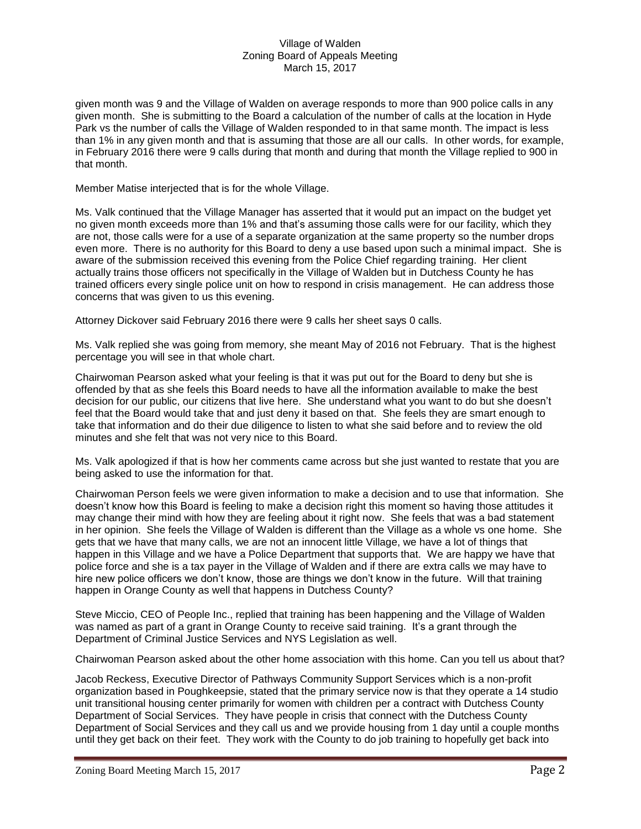given month was 9 and the Village of Walden on average responds to more than 900 police calls in any given month. She is submitting to the Board a calculation of the number of calls at the location in Hyde Park vs the number of calls the Village of Walden responded to in that same month. The impact is less than 1% in any given month and that is assuming that those are all our calls. In other words, for example, in February 2016 there were 9 calls during that month and during that month the Village replied to 900 in that month.

Member Matise interjected that is for the whole Village.

Ms. Valk continued that the Village Manager has asserted that it would put an impact on the budget yet no given month exceeds more than 1% and that's assuming those calls were for our facility, which they are not, those calls were for a use of a separate organization at the same property so the number drops even more. There is no authority for this Board to deny a use based upon such a minimal impact. She is aware of the submission received this evening from the Police Chief regarding training. Her client actually trains those officers not specifically in the Village of Walden but in Dutchess County he has trained officers every single police unit on how to respond in crisis management. He can address those concerns that was given to us this evening.

Attorney Dickover said February 2016 there were 9 calls her sheet says 0 calls.

Ms. Valk replied she was going from memory, she meant May of 2016 not February. That is the highest percentage you will see in that whole chart.

Chairwoman Pearson asked what your feeling is that it was put out for the Board to deny but she is offended by that as she feels this Board needs to have all the information available to make the best decision for our public, our citizens that live here. She understand what you want to do but she doesn't feel that the Board would take that and just deny it based on that. She feels they are smart enough to take that information and do their due diligence to listen to what she said before and to review the old minutes and she felt that was not very nice to this Board.

Ms. Valk apologized if that is how her comments came across but she just wanted to restate that you are being asked to use the information for that.

Chairwoman Person feels we were given information to make a decision and to use that information. She doesn't know how this Board is feeling to make a decision right this moment so having those attitudes it may change their mind with how they are feeling about it right now. She feels that was a bad statement in her opinion. She feels the Village of Walden is different than the Village as a whole vs one home. She gets that we have that many calls, we are not an innocent little Village, we have a lot of things that happen in this Village and we have a Police Department that supports that. We are happy we have that police force and she is a tax payer in the Village of Walden and if there are extra calls we may have to hire new police officers we don't know, those are things we don't know in the future. Will that training happen in Orange County as well that happens in Dutchess County?

Steve Miccio, CEO of People Inc., replied that training has been happening and the Village of Walden was named as part of a grant in Orange County to receive said training. It's a grant through the Department of Criminal Justice Services and NYS Legislation as well.

Chairwoman Pearson asked about the other home association with this home. Can you tell us about that?

Jacob Reckess, Executive Director of Pathways Community Support Services which is a non-profit organization based in Poughkeepsie, stated that the primary service now is that they operate a 14 studio unit transitional housing center primarily for women with children per a contract with Dutchess County Department of Social Services. They have people in crisis that connect with the Dutchess County Department of Social Services and they call us and we provide housing from 1 day until a couple months until they get back on their feet. They work with the County to do job training to hopefully get back into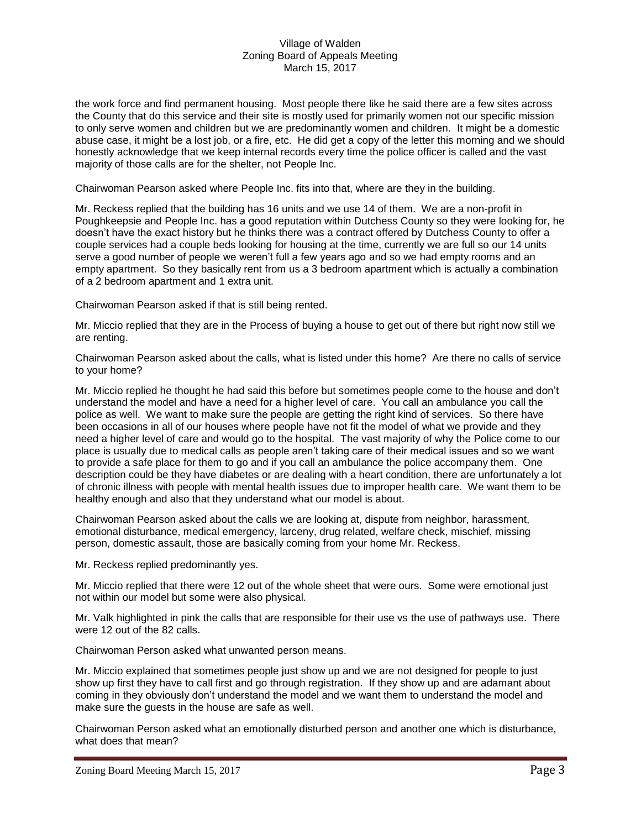the work force and find permanent housing. Most people there like he said there are a few sites across the County that do this service and their site is mostly used for primarily women not our specific mission to only serve women and children but we are predominantly women and children. It might be a domestic abuse case, it might be a lost job, or a fire, etc. He did get a copy of the letter this morning and we should honestly acknowledge that we keep internal records every time the police officer is called and the vast majority of those calls are for the shelter, not People Inc.

Chairwoman Pearson asked where People Inc. fits into that, where are they in the building.

Mr. Reckess replied that the building has 16 units and we use 14 of them. We are a non-profit in Poughkeepsie and People Inc. has a good reputation within Dutchess County so they were looking for, he doesn't have the exact history but he thinks there was a contract offered by Dutchess County to offer a couple services had a couple beds looking for housing at the time, currently we are full so our 14 units serve a good number of people we weren't full a few years ago and so we had empty rooms and an empty apartment. So they basically rent from us a 3 bedroom apartment which is actually a combination of a 2 bedroom apartment and 1 extra unit.

Chairwoman Pearson asked if that is still being rented.

Mr. Miccio replied that they are in the Process of buying a house to get out of there but right now still we are renting.

Chairwoman Pearson asked about the calls, what is listed under this home? Are there no calls of service to your home?

Mr. Miccio replied he thought he had said this before but sometimes people come to the house and don't understand the model and have a need for a higher level of care. You call an ambulance you call the police as well. We want to make sure the people are getting the right kind of services. So there have been occasions in all of our houses where people have not fit the model of what we provide and they need a higher level of care and would go to the hospital. The vast majority of why the Police come to our place is usually due to medical calls as people aren't taking care of their medical issues and so we want to provide a safe place for them to go and if you call an ambulance the police accompany them. One description could be they have diabetes or are dealing with a heart condition, there are unfortunately a lot of chronic illness with people with mental health issues due to improper health care. We want them to be healthy enough and also that they understand what our model is about.

Chairwoman Pearson asked about the calls we are looking at, dispute from neighbor, harassment, emotional disturbance, medical emergency, larceny, drug related, welfare check, mischief, missing person, domestic assault, those are basically coming from your home Mr. Reckess.

Mr. Reckess replied predominantly yes.

Mr. Miccio replied that there were 12 out of the whole sheet that were ours. Some were emotional just not within our model but some were also physical.

Mr. Valk highlighted in pink the calls that are responsible for their use vs the use of pathways use. There were 12 out of the 82 calls.

Chairwoman Person asked what unwanted person means.

Mr. Miccio explained that sometimes people just show up and we are not designed for people to just show up first they have to call first and go through registration. If they show up and are adamant about coming in they obviously don't understand the model and we want them to understand the model and make sure the guests in the house are safe as well.

Chairwoman Person asked what an emotionally disturbed person and another one which is disturbance, what does that mean?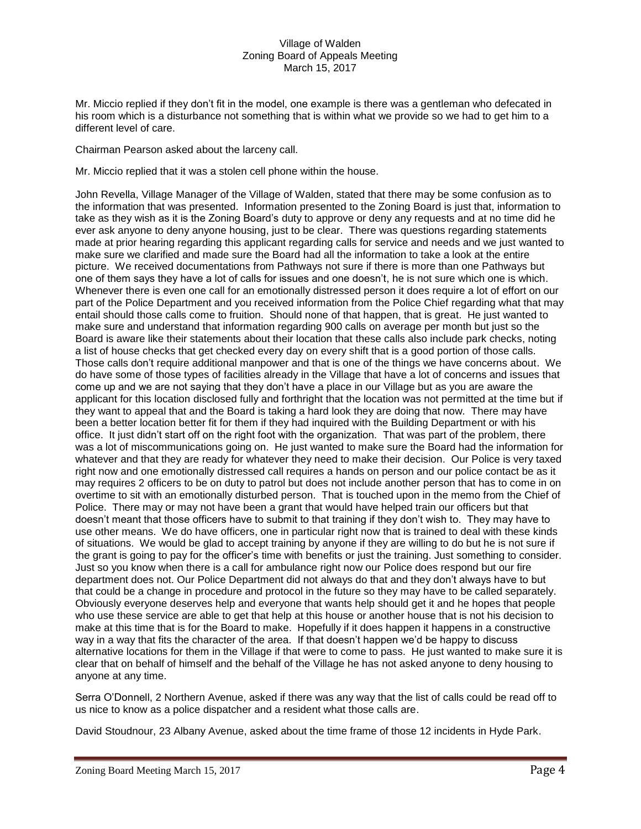Mr. Miccio replied if they don't fit in the model, one example is there was a gentleman who defecated in his room which is a disturbance not something that is within what we provide so we had to get him to a different level of care.

Chairman Pearson asked about the larceny call.

Mr. Miccio replied that it was a stolen cell phone within the house.

John Revella, Village Manager of the Village of Walden, stated that there may be some confusion as to the information that was presented. Information presented to the Zoning Board is just that, information to take as they wish as it is the Zoning Board's duty to approve or deny any requests and at no time did he ever ask anyone to deny anyone housing, just to be clear. There was questions regarding statements made at prior hearing regarding this applicant regarding calls for service and needs and we just wanted to make sure we clarified and made sure the Board had all the information to take a look at the entire picture. We received documentations from Pathways not sure if there is more than one Pathways but one of them says they have a lot of calls for issues and one doesn't, he is not sure which one is which. Whenever there is even one call for an emotionally distressed person it does require a lot of effort on our part of the Police Department and you received information from the Police Chief regarding what that may entail should those calls come to fruition. Should none of that happen, that is great. He just wanted to make sure and understand that information regarding 900 calls on average per month but just so the Board is aware like their statements about their location that these calls also include park checks, noting a list of house checks that get checked every day on every shift that is a good portion of those calls. Those calls don't require additional manpower and that is one of the things we have concerns about. We do have some of those types of facilities already in the Village that have a lot of concerns and issues that come up and we are not saying that they don't have a place in our Village but as you are aware the applicant for this location disclosed fully and forthright that the location was not permitted at the time but if they want to appeal that and the Board is taking a hard look they are doing that now. There may have been a better location better fit for them if they had inquired with the Building Department or with his office. It just didn't start off on the right foot with the organization. That was part of the problem, there was a lot of miscommunications going on. He just wanted to make sure the Board had the information for whatever and that they are ready for whatever they need to make their decision. Our Police is very taxed right now and one emotionally distressed call requires a hands on person and our police contact be as it may requires 2 officers to be on duty to patrol but does not include another person that has to come in on overtime to sit with an emotionally disturbed person. That is touched upon in the memo from the Chief of Police. There may or may not have been a grant that would have helped train our officers but that doesn't meant that those officers have to submit to that training if they don't wish to. They may have to use other means. We do have officers, one in particular right now that is trained to deal with these kinds of situations. We would be glad to accept training by anyone if they are willing to do but he is not sure if the grant is going to pay for the officer's time with benefits or just the training. Just something to consider. Just so you know when there is a call for ambulance right now our Police does respond but our fire department does not. Our Police Department did not always do that and they don't always have to but that could be a change in procedure and protocol in the future so they may have to be called separately. Obviously everyone deserves help and everyone that wants help should get it and he hopes that people who use these service are able to get that help at this house or another house that is not his decision to make at this time that is for the Board to make. Hopefully if it does happen it happens in a constructive way in a way that fits the character of the area. If that doesn't happen we'd be happy to discuss alternative locations for them in the Village if that were to come to pass. He just wanted to make sure it is clear that on behalf of himself and the behalf of the Village he has not asked anyone to deny housing to anyone at any time.

Serra O'Donnell, 2 Northern Avenue, asked if there was any way that the list of calls could be read off to us nice to know as a police dispatcher and a resident what those calls are.

David Stoudnour, 23 Albany Avenue, asked about the time frame of those 12 incidents in Hyde Park.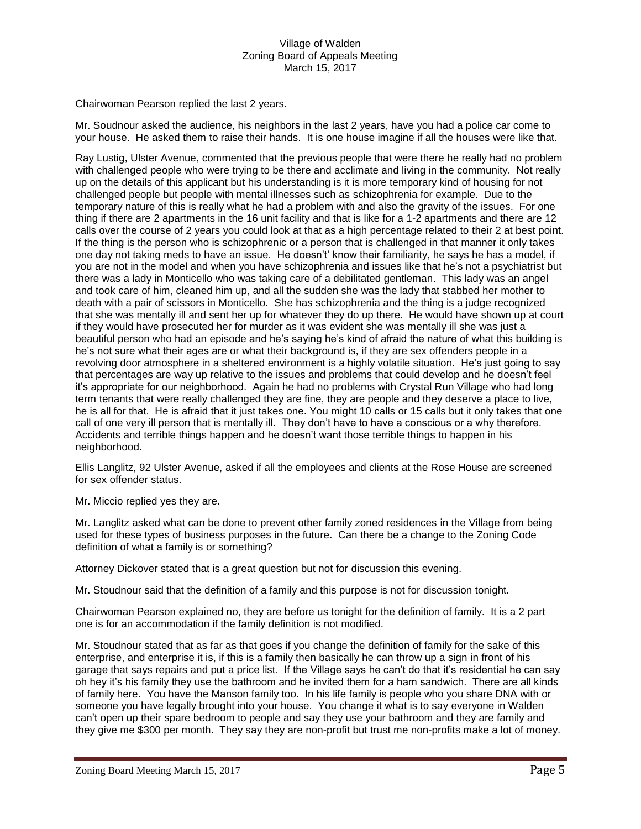Chairwoman Pearson replied the last 2 years.

Mr. Soudnour asked the audience, his neighbors in the last 2 years, have you had a police car come to your house. He asked them to raise their hands. It is one house imagine if all the houses were like that.

Ray Lustig, Ulster Avenue, commented that the previous people that were there he really had no problem with challenged people who were trying to be there and acclimate and living in the community. Not really up on the details of this applicant but his understanding is it is more temporary kind of housing for not challenged people but people with mental illnesses such as schizophrenia for example. Due to the temporary nature of this is really what he had a problem with and also the gravity of the issues. For one thing if there are 2 apartments in the 16 unit facility and that is like for a 1-2 apartments and there are 12 calls over the course of 2 years you could look at that as a high percentage related to their 2 at best point. If the thing is the person who is schizophrenic or a person that is challenged in that manner it only takes one day not taking meds to have an issue. He doesn't' know their familiarity, he says he has a model, if you are not in the model and when you have schizophrenia and issues like that he's not a psychiatrist but there was a lady in Monticello who was taking care of a debilitated gentleman. This lady was an angel and took care of him, cleaned him up, and all the sudden she was the lady that stabbed her mother to death with a pair of scissors in Monticello. She has schizophrenia and the thing is a judge recognized that she was mentally ill and sent her up for whatever they do up there. He would have shown up at court if they would have prosecuted her for murder as it was evident she was mentally ill she was just a beautiful person who had an episode and he's saying he's kind of afraid the nature of what this building is he's not sure what their ages are or what their background is, if they are sex offenders people in a revolving door atmosphere in a sheltered environment is a highly volatile situation. He's just going to say that percentages are way up relative to the issues and problems that could develop and he doesn't feel it's appropriate for our neighborhood. Again he had no problems with Crystal Run Village who had long term tenants that were really challenged they are fine, they are people and they deserve a place to live, he is all for that. He is afraid that it just takes one. You might 10 calls or 15 calls but it only takes that one call of one very ill person that is mentally ill. They don't have to have a conscious or a why therefore. Accidents and terrible things happen and he doesn't want those terrible things to happen in his neighborhood.

Ellis Langlitz, 92 Ulster Avenue, asked if all the employees and clients at the Rose House are screened for sex offender status.

Mr. Miccio replied yes they are.

Mr. Langlitz asked what can be done to prevent other family zoned residences in the Village from being used for these types of business purposes in the future. Can there be a change to the Zoning Code definition of what a family is or something?

Attorney Dickover stated that is a great question but not for discussion this evening.

Mr. Stoudnour said that the definition of a family and this purpose is not for discussion tonight.

Chairwoman Pearson explained no, they are before us tonight for the definition of family. It is a 2 part one is for an accommodation if the family definition is not modified.

Mr. Stoudnour stated that as far as that goes if you change the definition of family for the sake of this enterprise, and enterprise it is, if this is a family then basically he can throw up a sign in front of his garage that says repairs and put a price list. If the Village says he can't do that it's residential he can say oh hey it's his family they use the bathroom and he invited them for a ham sandwich. There are all kinds of family here. You have the Manson family too. In his life family is people who you share DNA with or someone you have legally brought into your house. You change it what is to say everyone in Walden can't open up their spare bedroom to people and say they use your bathroom and they are family and they give me \$300 per month. They say they are non-profit but trust me non-profits make a lot of money.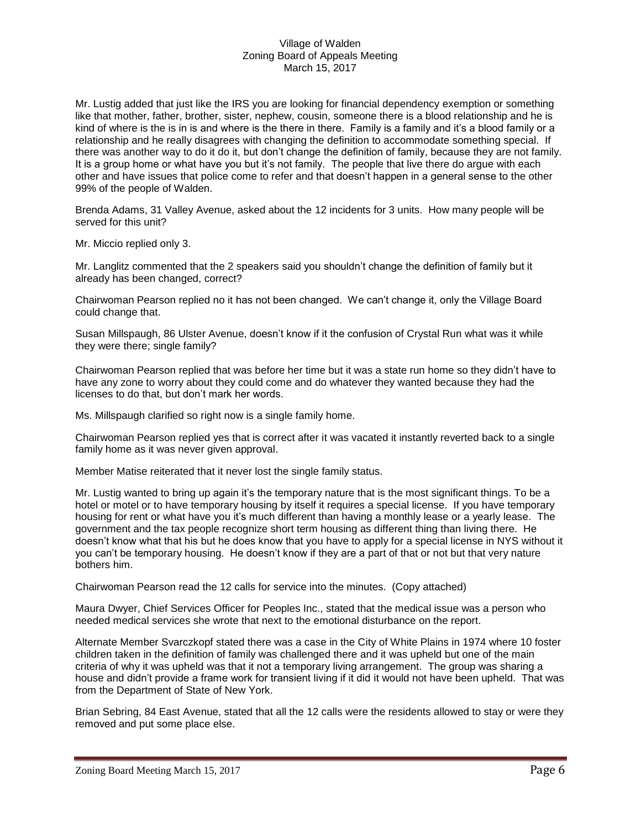Mr. Lustig added that just like the IRS you are looking for financial dependency exemption or something like that mother, father, brother, sister, nephew, cousin, someone there is a blood relationship and he is kind of where is the is in is and where is the there in there. Family is a family and it's a blood family or a relationship and he really disagrees with changing the definition to accommodate something special. If there was another way to do it do it, but don't change the definition of family, because they are not family. It is a group home or what have you but it's not family. The people that live there do argue with each other and have issues that police come to refer and that doesn't happen in a general sense to the other 99% of the people of Walden.

Brenda Adams, 31 Valley Avenue, asked about the 12 incidents for 3 units. How many people will be served for this unit?

Mr. Miccio replied only 3.

Mr. Langlitz commented that the 2 speakers said you shouldn't change the definition of family but it already has been changed, correct?

Chairwoman Pearson replied no it has not been changed. We can't change it, only the Village Board could change that.

Susan Millspaugh, 86 Ulster Avenue, doesn't know if it the confusion of Crystal Run what was it while they were there; single family?

Chairwoman Pearson replied that was before her time but it was a state run home so they didn't have to have any zone to worry about they could come and do whatever they wanted because they had the licenses to do that, but don't mark her words.

Ms. Millspaugh clarified so right now is a single family home.

Chairwoman Pearson replied yes that is correct after it was vacated it instantly reverted back to a single family home as it was never given approval.

Member Matise reiterated that it never lost the single family status.

Mr. Lustig wanted to bring up again it's the temporary nature that is the most significant things. To be a hotel or motel or to have temporary housing by itself it requires a special license. If you have temporary housing for rent or what have you it's much different than having a monthly lease or a yearly lease. The government and the tax people recognize short term housing as different thing than living there. He doesn't know what that his but he does know that you have to apply for a special license in NYS without it you can't be temporary housing. He doesn't know if they are a part of that or not but that very nature bothers him.

Chairwoman Pearson read the 12 calls for service into the minutes. (Copy attached)

Maura Dwyer, Chief Services Officer for Peoples Inc., stated that the medical issue was a person who needed medical services she wrote that next to the emotional disturbance on the report.

Alternate Member Svarczkopf stated there was a case in the City of White Plains in 1974 where 10 foster children taken in the definition of family was challenged there and it was upheld but one of the main criteria of why it was upheld was that it not a temporary living arrangement. The group was sharing a house and didn't provide a frame work for transient living if it did it would not have been upheld. That was from the Department of State of New York.

Brian Sebring, 84 East Avenue, stated that all the 12 calls were the residents allowed to stay or were they removed and put some place else.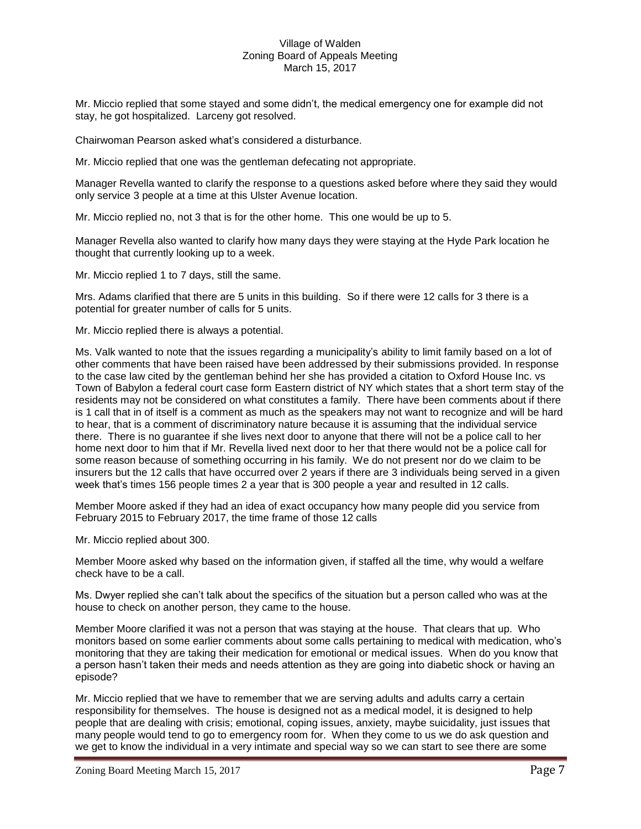Mr. Miccio replied that some stayed and some didn't, the medical emergency one for example did not stay, he got hospitalized. Larceny got resolved.

Chairwoman Pearson asked what's considered a disturbance.

Mr. Miccio replied that one was the gentleman defecating not appropriate.

Manager Revella wanted to clarify the response to a questions asked before where they said they would only service 3 people at a time at this Ulster Avenue location.

Mr. Miccio replied no, not 3 that is for the other home. This one would be up to 5.

Manager Revella also wanted to clarify how many days they were staying at the Hyde Park location he thought that currently looking up to a week.

Mr. Miccio replied 1 to 7 days, still the same.

Mrs. Adams clarified that there are 5 units in this building. So if there were 12 calls for 3 there is a potential for greater number of calls for 5 units.

Mr. Miccio replied there is always a potential.

Ms. Valk wanted to note that the issues regarding a municipality's ability to limit family based on a lot of other comments that have been raised have been addressed by their submissions provided. In response to the case law cited by the gentleman behind her she has provided a citation to Oxford House Inc. vs Town of Babylon a federal court case form Eastern district of NY which states that a short term stay of the residents may not be considered on what constitutes a family. There have been comments about if there is 1 call that in of itself is a comment as much as the speakers may not want to recognize and will be hard to hear, that is a comment of discriminatory nature because it is assuming that the individual service there. There is no guarantee if she lives next door to anyone that there will not be a police call to her home next door to him that if Mr. Revella lived next door to her that there would not be a police call for some reason because of something occurring in his family. We do not present nor do we claim to be insurers but the 12 calls that have occurred over 2 years if there are 3 individuals being served in a given week that's times 156 people times 2 a year that is 300 people a year and resulted in 12 calls.

Member Moore asked if they had an idea of exact occupancy how many people did you service from February 2015 to February 2017, the time frame of those 12 calls

Mr. Miccio replied about 300.

Member Moore asked why based on the information given, if staffed all the time, why would a welfare check have to be a call.

Ms. Dwyer replied she can't talk about the specifics of the situation but a person called who was at the house to check on another person, they came to the house.

Member Moore clarified it was not a person that was staying at the house. That clears that up. Who monitors based on some earlier comments about some calls pertaining to medical with medication, who's monitoring that they are taking their medication for emotional or medical issues. When do you know that a person hasn't taken their meds and needs attention as they are going into diabetic shock or having an episode?

Mr. Miccio replied that we have to remember that we are serving adults and adults carry a certain responsibility for themselves. The house is designed not as a medical model, it is designed to help people that are dealing with crisis; emotional, coping issues, anxiety, maybe suicidality, just issues that many people would tend to go to emergency room for. When they come to us we do ask question and we get to know the individual in a very intimate and special way so we can start to see there are some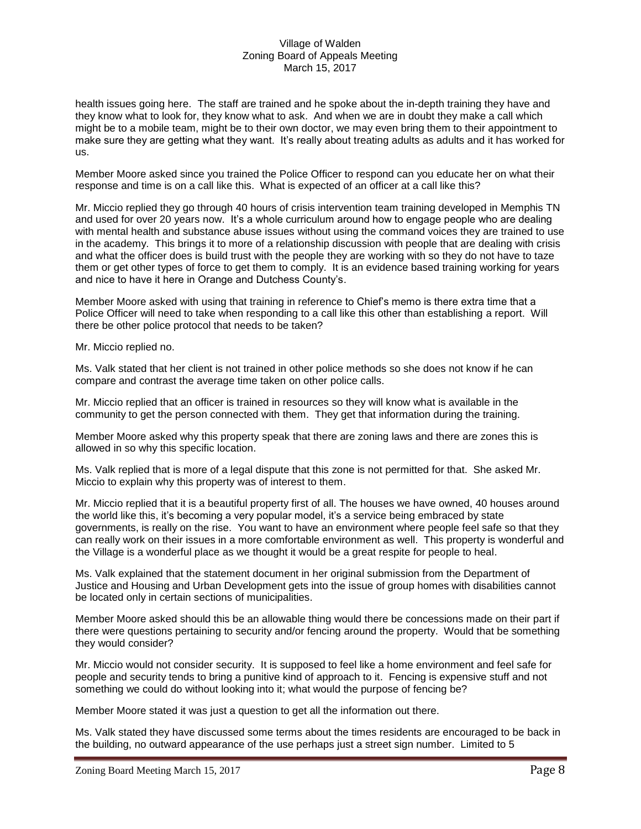health issues going here. The staff are trained and he spoke about the in-depth training they have and they know what to look for, they know what to ask. And when we are in doubt they make a call which might be to a mobile team, might be to their own doctor, we may even bring them to their appointment to make sure they are getting what they want. It's really about treating adults as adults and it has worked for us.

Member Moore asked since you trained the Police Officer to respond can you educate her on what their response and time is on a call like this. What is expected of an officer at a call like this?

Mr. Miccio replied they go through 40 hours of crisis intervention team training developed in Memphis TN and used for over 20 years now. It's a whole curriculum around how to engage people who are dealing with mental health and substance abuse issues without using the command voices they are trained to use in the academy. This brings it to more of a relationship discussion with people that are dealing with crisis and what the officer does is build trust with the people they are working with so they do not have to taze them or get other types of force to get them to comply. It is an evidence based training working for years and nice to have it here in Orange and Dutchess County's.

Member Moore asked with using that training in reference to Chief's memo is there extra time that a Police Officer will need to take when responding to a call like this other than establishing a report. Will there be other police protocol that needs to be taken?

Mr. Miccio replied no.

Ms. Valk stated that her client is not trained in other police methods so she does not know if he can compare and contrast the average time taken on other police calls.

Mr. Miccio replied that an officer is trained in resources so they will know what is available in the community to get the person connected with them. They get that information during the training.

Member Moore asked why this property speak that there are zoning laws and there are zones this is allowed in so why this specific location.

Ms. Valk replied that is more of a legal dispute that this zone is not permitted for that. She asked Mr. Miccio to explain why this property was of interest to them.

Mr. Miccio replied that it is a beautiful property first of all. The houses we have owned, 40 houses around the world like this, it's becoming a very popular model, it's a service being embraced by state governments, is really on the rise. You want to have an environment where people feel safe so that they can really work on their issues in a more comfortable environment as well. This property is wonderful and the Village is a wonderful place as we thought it would be a great respite for people to heal.

Ms. Valk explained that the statement document in her original submission from the Department of Justice and Housing and Urban Development gets into the issue of group homes with disabilities cannot be located only in certain sections of municipalities.

Member Moore asked should this be an allowable thing would there be concessions made on their part if there were questions pertaining to security and/or fencing around the property. Would that be something they would consider?

Mr. Miccio would not consider security. It is supposed to feel like a home environment and feel safe for people and security tends to bring a punitive kind of approach to it. Fencing is expensive stuff and not something we could do without looking into it; what would the purpose of fencing be?

Member Moore stated it was just a question to get all the information out there.

Ms. Valk stated they have discussed some terms about the times residents are encouraged to be back in the building, no outward appearance of the use perhaps just a street sign number. Limited to 5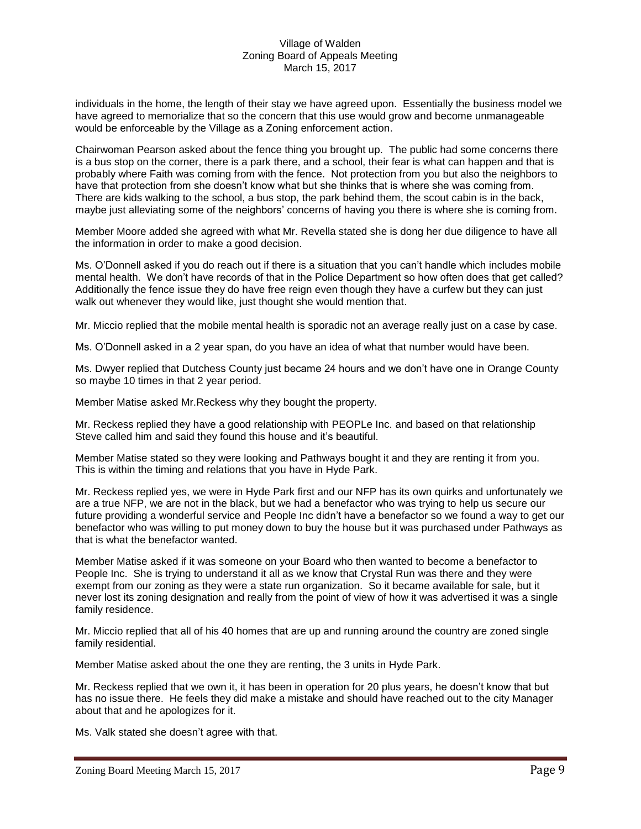individuals in the home, the length of their stay we have agreed upon. Essentially the business model we have agreed to memorialize that so the concern that this use would grow and become unmanageable would be enforceable by the Village as a Zoning enforcement action.

Chairwoman Pearson asked about the fence thing you brought up. The public had some concerns there is a bus stop on the corner, there is a park there, and a school, their fear is what can happen and that is probably where Faith was coming from with the fence. Not protection from you but also the neighbors to have that protection from she doesn't know what but she thinks that is where she was coming from. There are kids walking to the school, a bus stop, the park behind them, the scout cabin is in the back, maybe just alleviating some of the neighbors' concerns of having you there is where she is coming from.

Member Moore added she agreed with what Mr. Revella stated she is dong her due diligence to have all the information in order to make a good decision.

Ms. O'Donnell asked if you do reach out if there is a situation that you can't handle which includes mobile mental health. We don't have records of that in the Police Department so how often does that get called? Additionally the fence issue they do have free reign even though they have a curfew but they can just walk out whenever they would like, just thought she would mention that.

Mr. Miccio replied that the mobile mental health is sporadic not an average really just on a case by case.

Ms. O'Donnell asked in a 2 year span, do you have an idea of what that number would have been.

Ms. Dwyer replied that Dutchess County just became 24 hours and we don't have one in Orange County so maybe 10 times in that 2 year period.

Member Matise asked Mr.Reckess why they bought the property.

Mr. Reckess replied they have a good relationship with PEOPLe Inc. and based on that relationship Steve called him and said they found this house and it's beautiful.

Member Matise stated so they were looking and Pathways bought it and they are renting it from you. This is within the timing and relations that you have in Hyde Park.

Mr. Reckess replied yes, we were in Hyde Park first and our NFP has its own quirks and unfortunately we are a true NFP, we are not in the black, but we had a benefactor who was trying to help us secure our future providing a wonderful service and People Inc didn't have a benefactor so we found a way to get our benefactor who was willing to put money down to buy the house but it was purchased under Pathways as that is what the benefactor wanted.

Member Matise asked if it was someone on your Board who then wanted to become a benefactor to People Inc. She is trying to understand it all as we know that Crystal Run was there and they were exempt from our zoning as they were a state run organization. So it became available for sale, but it never lost its zoning designation and really from the point of view of how it was advertised it was a single family residence.

Mr. Miccio replied that all of his 40 homes that are up and running around the country are zoned single family residential.

Member Matise asked about the one they are renting, the 3 units in Hyde Park.

Mr. Reckess replied that we own it, it has been in operation for 20 plus years, he doesn't know that but has no issue there. He feels they did make a mistake and should have reached out to the city Manager about that and he apologizes for it.

Ms. Valk stated she doesn't agree with that.

Zoning Board Meeting March 15, 2017 Page 9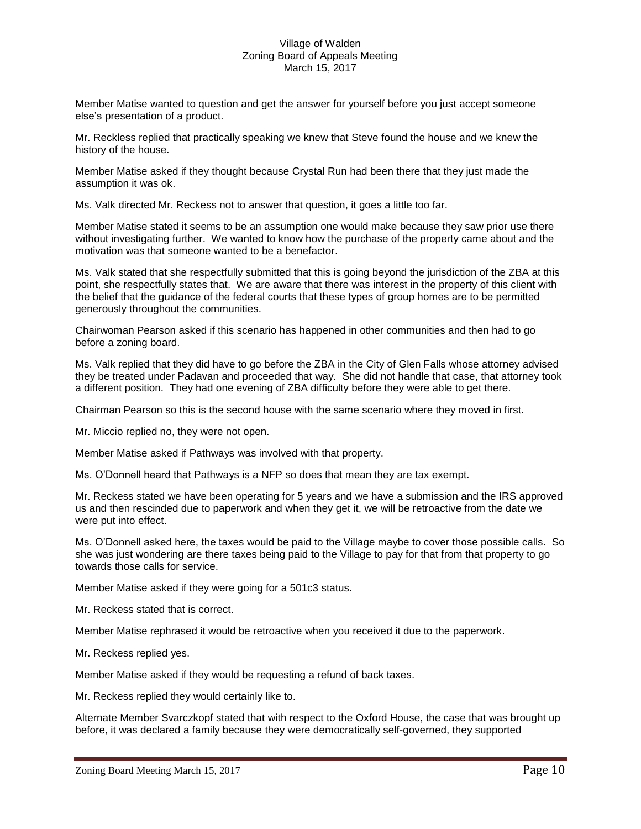Member Matise wanted to question and get the answer for yourself before you just accept someone else's presentation of a product.

Mr. Reckless replied that practically speaking we knew that Steve found the house and we knew the history of the house.

Member Matise asked if they thought because Crystal Run had been there that they just made the assumption it was ok.

Ms. Valk directed Mr. Reckess not to answer that question, it goes a little too far.

Member Matise stated it seems to be an assumption one would make because they saw prior use there without investigating further. We wanted to know how the purchase of the property came about and the motivation was that someone wanted to be a benefactor.

Ms. Valk stated that she respectfully submitted that this is going beyond the jurisdiction of the ZBA at this point, she respectfully states that. We are aware that there was interest in the property of this client with the belief that the guidance of the federal courts that these types of group homes are to be permitted generously throughout the communities.

Chairwoman Pearson asked if this scenario has happened in other communities and then had to go before a zoning board.

Ms. Valk replied that they did have to go before the ZBA in the City of Glen Falls whose attorney advised they be treated under Padavan and proceeded that way. She did not handle that case, that attorney took a different position. They had one evening of ZBA difficulty before they were able to get there.

Chairman Pearson so this is the second house with the same scenario where they moved in first.

Mr. Miccio replied no, they were not open.

Member Matise asked if Pathways was involved with that property.

Ms. O'Donnell heard that Pathways is a NFP so does that mean they are tax exempt.

Mr. Reckess stated we have been operating for 5 years and we have a submission and the IRS approved us and then rescinded due to paperwork and when they get it, we will be retroactive from the date we were put into effect.

Ms. O'Donnell asked here, the taxes would be paid to the Village maybe to cover those possible calls. So she was just wondering are there taxes being paid to the Village to pay for that from that property to go towards those calls for service.

Member Matise asked if they were going for a 501c3 status.

Mr. Reckess stated that is correct.

Member Matise rephrased it would be retroactive when you received it due to the paperwork.

Mr. Reckess replied yes.

Member Matise asked if they would be requesting a refund of back taxes.

Mr. Reckess replied they would certainly like to.

Alternate Member Svarczkopf stated that with respect to the Oxford House, the case that was brought up before, it was declared a family because they were democratically self-governed, they supported

Zoning Board Meeting March 15, 2017 **Page 10**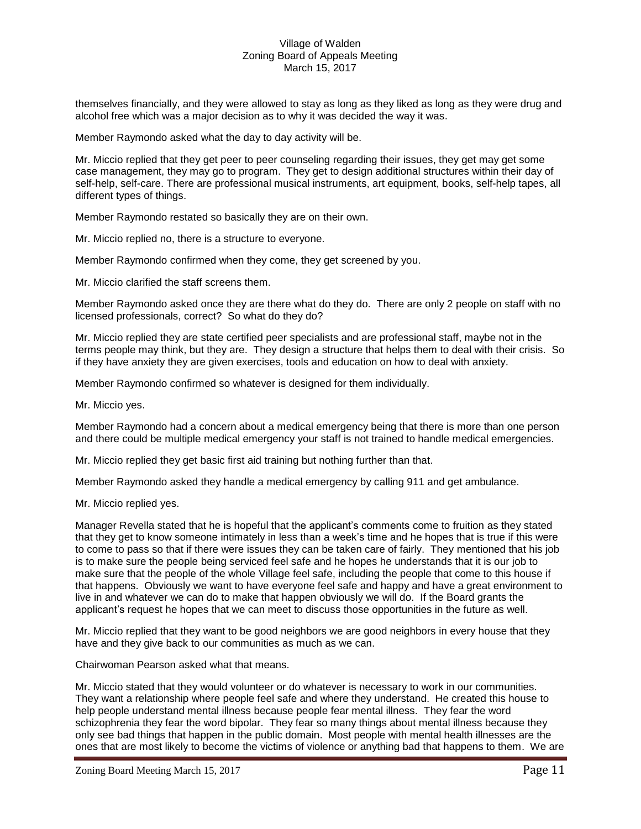themselves financially, and they were allowed to stay as long as they liked as long as they were drug and alcohol free which was a major decision as to why it was decided the way it was.

Member Raymondo asked what the day to day activity will be.

Mr. Miccio replied that they get peer to peer counseling regarding their issues, they get may get some case management, they may go to program. They get to design additional structures within their day of self-help, self-care. There are professional musical instruments, art equipment, books, self-help tapes, all different types of things.

Member Raymondo restated so basically they are on their own.

Mr. Miccio replied no, there is a structure to everyone.

Member Raymondo confirmed when they come, they get screened by you.

Mr. Miccio clarified the staff screens them.

Member Raymondo asked once they are there what do they do. There are only 2 people on staff with no licensed professionals, correct? So what do they do?

Mr. Miccio replied they are state certified peer specialists and are professional staff, maybe not in the terms people may think, but they are. They design a structure that helps them to deal with their crisis. So if they have anxiety they are given exercises, tools and education on how to deal with anxiety.

Member Raymondo confirmed so whatever is designed for them individually.

Mr. Miccio yes.

Member Raymondo had a concern about a medical emergency being that there is more than one person and there could be multiple medical emergency your staff is not trained to handle medical emergencies.

Mr. Miccio replied they get basic first aid training but nothing further than that.

Member Raymondo asked they handle a medical emergency by calling 911 and get ambulance.

Mr. Miccio replied yes.

Manager Revella stated that he is hopeful that the applicant's comments come to fruition as they stated that they get to know someone intimately in less than a week's time and he hopes that is true if this were to come to pass so that if there were issues they can be taken care of fairly. They mentioned that his job is to make sure the people being serviced feel safe and he hopes he understands that it is our job to make sure that the people of the whole Village feel safe, including the people that come to this house if that happens. Obviously we want to have everyone feel safe and happy and have a great environment to live in and whatever we can do to make that happen obviously we will do. If the Board grants the applicant's request he hopes that we can meet to discuss those opportunities in the future as well.

Mr. Miccio replied that they want to be good neighbors we are good neighbors in every house that they have and they give back to our communities as much as we can.

Chairwoman Pearson asked what that means.

Mr. Miccio stated that they would volunteer or do whatever is necessary to work in our communities. They want a relationship where people feel safe and where they understand. He created this house to help people understand mental illness because people fear mental illness. They fear the word schizophrenia they fear the word bipolar. They fear so many things about mental illness because they only see bad things that happen in the public domain. Most people with mental health illnesses are the ones that are most likely to become the victims of violence or anything bad that happens to them. We are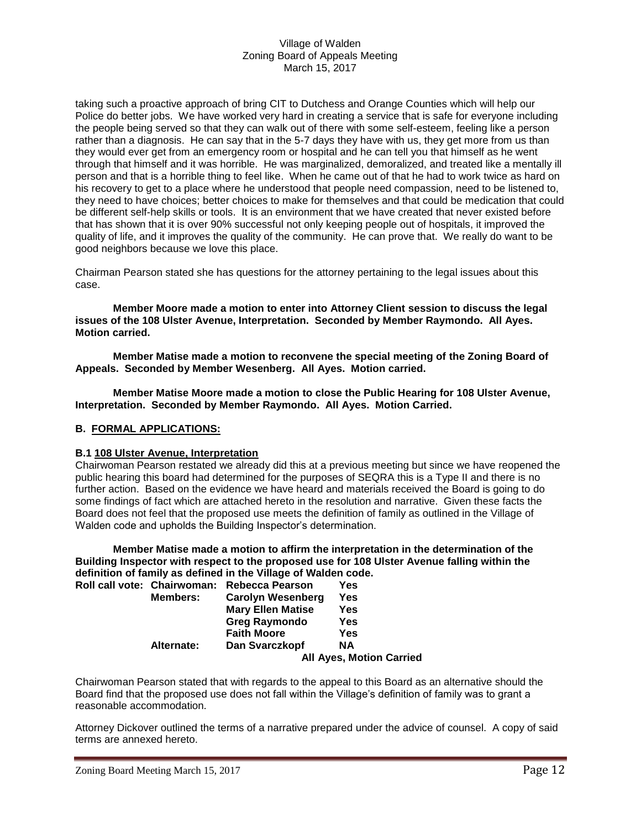taking such a proactive approach of bring CIT to Dutchess and Orange Counties which will help our Police do better jobs. We have worked very hard in creating a service that is safe for everyone including the people being served so that they can walk out of there with some self-esteem, feeling like a person rather than a diagnosis. He can say that in the 5-7 days they have with us, they get more from us than they would ever get from an emergency room or hospital and he can tell you that himself as he went through that himself and it was horrible. He was marginalized, demoralized, and treated like a mentally ill person and that is a horrible thing to feel like. When he came out of that he had to work twice as hard on his recovery to get to a place where he understood that people need compassion, need to be listened to, they need to have choices; better choices to make for themselves and that could be medication that could be different self-help skills or tools. It is an environment that we have created that never existed before that has shown that it is over 90% successful not only keeping people out of hospitals, it improved the quality of life, and it improves the quality of the community. He can prove that. We really do want to be good neighbors because we love this place.

Chairman Pearson stated she has questions for the attorney pertaining to the legal issues about this case.

**Member Moore made a motion to enter into Attorney Client session to discuss the legal issues of the 108 Ulster Avenue, Interpretation. Seconded by Member Raymondo. All Ayes. Motion carried.**

**Member Matise made a motion to reconvene the special meeting of the Zoning Board of Appeals. Seconded by Member Wesenberg. All Ayes. Motion carried.**

**Member Matise Moore made a motion to close the Public Hearing for 108 Ulster Avenue, Interpretation. Seconded by Member Raymondo. All Ayes. Motion Carried.**

# **B. FORMAL APPLICATIONS:**

## **B.1 108 Ulster Avenue, Interpretation**

Chairwoman Pearson restated we already did this at a previous meeting but since we have reopened the public hearing this board had determined for the purposes of SEQRA this is a Type II and there is no further action. Based on the evidence we have heard and materials received the Board is going to do some findings of fact which are attached hereto in the resolution and narrative. Given these facts the Board does not feel that the proposed use meets the definition of family as outlined in the Village of Walden code and upholds the Building Inspector's determination.

**Member Matise made a motion to affirm the interpretation in the determination of the Building Inspector with respect to the proposed use for 108 Ulster Avenue falling within the definition of family as defined in the Village of Walden code.**

|  |                 | Roll call vote: Chairwoman: Rebecca Pearson | Yes |
|--|-----------------|---------------------------------------------|-----|
|  | <b>Members:</b> | <b>Carolyn Wesenberg</b>                    | Yes |
|  |                 | <b>Mary Ellen Matise</b>                    | Yes |
|  |                 | <b>Greg Raymondo</b>                        | Yes |
|  |                 | <b>Faith Moore</b>                          | Yes |
|  | Alternate:      | Dan Svarczkopf                              | ΝA  |
|  |                 | <b>All Ayes, Motion Carried</b>             |     |

Chairwoman Pearson stated that with regards to the appeal to this Board as an alternative should the Board find that the proposed use does not fall within the Village's definition of family was to grant a reasonable accommodation.

Attorney Dickover outlined the terms of a narrative prepared under the advice of counsel. A copy of said terms are annexed hereto.